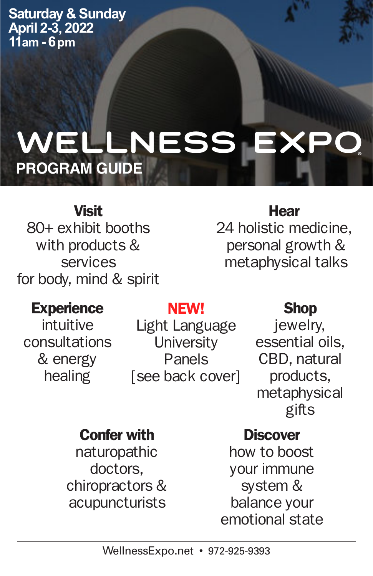**Saturday & Sunday April 2-3, 2022 11am - 6pm**

# **Wellness Expo® PROGRAM GUIDE**

# Visit

80+ exhibit booths with products & services for body, mind & spirit

# **Hear**

24 holistic medicine, personal growth & metaphysical talks

# **Experience**

intuitive consultations & energy healing

# NEW!

Light Language **University** Panels [see back cover]

# Shop

jewelry, essential oils, CBD, natural products, metaphysical gifts

# Confer with

naturopathic doctors, chiropractors & acupuncturists

# **Discover**

how to boost your immune system & balance your emotional state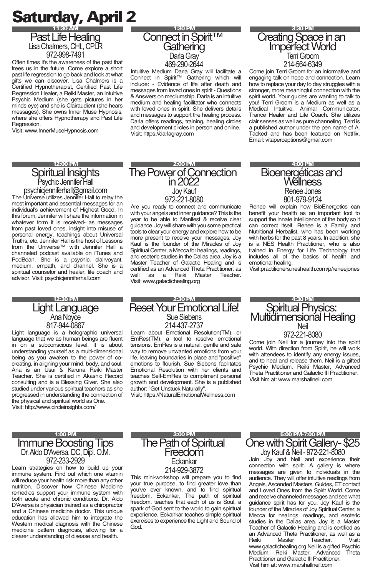# Saturday, April 2 11:30 AM

Past Life Healing Lisa Chalmers, CHt., CPLR 972-998-7491

Often times it's the awareness of the past that frees us in the future. Come explore a short past life regression to go back and look at what gifts we can discover. Lisa Chalmers is a Certified Hypnotherapist, Certified Past Life Regression Healer, a Reiki Master, an Intuitive Psychic Medium (she gets pictures in her minds eye) and she is Clairaudient (she hears messages). She owns Inner Muse Hypnosis, where she offers Hypnotherapy and Past Life Regression.

Visit: www.InnerMuseHypnosis.com

#### 12:00 PM

#### Spiritual Insights Psychic Jennifer Hall

psychicjenniferhall@gmail.com The Universe utilizes Jennifer Hall to relay the most important and essential messages for an individual's achievement of Highest Good. In this forum, Jennifer will share the information in whatever form it is received- as messages from past loved ones, insight into misuse of personal energy, teachings about Universal Truths, etc. Jennifer Hall is the host of Lessons from the Universe™ with Jennifer Hall a channeled podcast available on iTunes and PodBean. She is a psychic, clairvoyant, medium, empath, and channel. She is a spiritual counselor and healer, life coach and advisor. Visit: psychicjenniferhall.com

#### 12:30 PM Light Language Ana Noyce 817-944-0867

Light language is a holographic universal language that we as human beings are fluent in on a subconscious level. It is about understanding yourself as a multi-dimensional being as you awaken to the power of cocreating, in aligning your mind, body, and soul. Ana is an Usui & Karuna Reiki Master Teacher. She is certified in Akashic Record consulting and is a Blessing Giver. She also studied under various spiritual teachers as she progressed in understanding the connection of the physical and spiritual world as One. Visit: http://www.circleinsights.com/

# **2:00 PM**<br>The Power of Connection in 2022 Joy Kauf 972-221-8080

Visit: https://darlagray.com

1:30 PM Connect in Spirit<sup>™</sup> Gathering Darla Gray 469-290-2644 Intuitive Medium Darla Gray will facilitate a Connect in Spirit™ Gathering which will include: - Evidence of life after death and messages from loved ones in spirit - Questions & Answers on mediumship. Darla is an intuitive medium and healing facilitator who connects with loved ones in spirit. She delivers details and messages to support the healing process. Darla offers readings, training, healing circles and development circles in person and online.

Are you ready to connect and communicate with your angels and inner guidance? This is the year to be able to Manifest & receive clear guidance. Joy will share with you some practical tools to clear your energy and explore how to be more present to receive your messages. Joy Kauf is the founder of the Miracles of Joy Spiritual Center, a Mecca for healings, readings, and esoteric studies in the Dallas area. Joy is a Master Teacher of Galactic Healing and is certified as an Advanced Theta Practitioner, as well as a Reiki Master Teacher. Visit: www.galactichealing.org

#### 3:30 PM Creating Space in an ImperfectWorld Terri Groom 214-564-6349

Come join Terri Groom for an informative and engaging talk on hope and connection. Learn how to replace your day to day struggles with a stronger, more meaningful connection with the spirit world. Your guides are wanting to talk to you! Terri Groom is a Medium as well as a Medical Intuitive, Animal Communicator, Trance Healer and Life Coach. She utilizes clair senses as well as pure channeling. Terri is a published author under the pen name of A. Tacked and has been featured on Netflix. Email: vitaperceptions@gmail.com

#### 4:00 PM Bioenergéticas and Wellness Renee Jones 801-979-9124

Renee will explain how BioEnergetics can benefit your health as an important tool to support the innate intelligence of the body so it can correct itself. Renee is a Family and Nutritional Herbalist, who has been working with herbs for the past 8 years. In addition, she is a NES Health Practitioner, who is also trained in Energy for Life Technology that includes all of the basics of health and emotional healing.

Visit:practitioners.neshealth.com/p/reneejones

#### 2:30 PM Reset Your Emotional Life! Sue Siebens 214-437-2737

Learn about Emotional Resolution(TM), or EmRes(TM), a tool to resolve emotional tensions. EmRes is a natural, gentle and safe way to remove unwanted emotions from your life, leaving boundaries in place and "positive" emotions to flourish. Sue Siebens facilitates Emotional Resolution with her clients and teaches Self-EmRes to compliment personal growth and development. She is a published author: "Get Unstuck Naturally".

Visit: https://NaturalEmotionalWellness.com

#### 4:30 PM Spiritual Physics: Multidimensional Healing Neil

972-221-8080 Come join Neil for a journey into the spirit world. With direction from Spirit, he will work with attendees to identify any energy issues, and to heal and release them. Neil is a gifted Psychic Medium, Reiki Master, Advanced Theta Practitioner and Galactic III Practitioner. Visit him at: www.marshallneil.com

#### 1:00 PM **Immune Boosting Tips** Dr.Aldo D'Aversa, DC, Dipl. O.M. 972-233-2929

Learn strategies on how to build up your immune system. Find out which one vitamin will reduce your health risk more than any other nutrition. Discover how Chinese Medicine remedies support your immune system with both acute and chronic conditions. Dr. Aldo D'Aversa is physician trained as a chiropractor and a Chinese medicine doctor. This unique education has allowed him to integrate the Western medical diagnosis with the Chinese medicine pattern diagnosis, allowing for a clearer understanding of disease and health.

#### 3:00 PM **The Path of Spiritual** Freedom **F**ckankar 214-929-3872

This mini-workshop will prepare you to find your true purpose, to find greater love than you've ever known, and to find spiritual freedom. Eckankar, The path of spiritual freedom, teaches that each of us is Soul, a spark of God sent to the world to gain spiritual experience. Eckankar teaches simple spiritual exercises to experience the Light and Sound of God.

5:00 PM-7:00 PM One with Spirit Gallery-\$25

Joy Kauf & Neil - 972-221-8080 Join Joy and Neil and experience their connection with spirit. A gallery is where messages are given to individuals in the audience. They will offer intuitive readings from Angels, Ascended Masters, Guides, ET contact and Loved Ones from the Spirit World. Come and receive channeledmessages and see what guidance spirit has for you. Joy Kauf is the founder of the Miracles of Joy Spiritual Center, a Mecca for healings, readings, and esoteric studies in the Dallas area. Joy is a Master Teacher of Galactic Healing and is certified as an Advanced Theta Practitioner, as well as a Reiki Master Teacher. Visit: www.galactichealing.org Neil is a gifted Psychic Medium, Reiki Master, Advanced Theta Practitioner and Galactic III Practitioner. Visit him at: www.marshallneil.com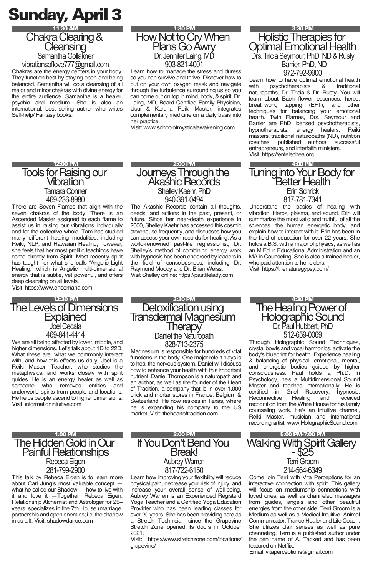# Sunday, April 3



Chakras are the energy centers in your body. They function best by staying open and being balanced. Samantha will do a cleansing of all major and minor chakras with divine energy for the entire audience. Samantha is a healer, psychic and medium. She is also an international, best selling author who writes Self-help/ Fantasy books.

#### 1:30 PM How Not to Cry When Plans Go Awry Dr. Jennifer Laing, MD 903-821-4001

Learn how to manage the stress and duress so you can survive and thrive. Discover how to put on your own oxygen mask and navigate through the turbulence surrounding us so you can come out on top in mind, body, & spirit. Dr. Laing, MD, Board Certified Family Physician, Usui & Karuna Reiki Master, integrates complementary medicine on a daily basis into her practice.

Visit: www.schoolofmysticalawakening.com

2:00 PM Journeys Through the Akashic Records Shelley Kaehr, PhD 940-391-0494 The Akashic Records contain all thoughts, deeds, and actions in the past, present, or future. Since her near-death experience in 2000, Shelley Kaehr has accessed this cosmic storehouse frequently, and discusses how you can access your own records for healing. As a world-renowned past-life regressionist, Dr. Shelley's method of combining energy work with hypnosis has been endorsed by leaders in the field of consciousness, including Dr. Raymond Moody and Dr. Brian Weiss. Visit Shelley online: https://pastlifelady.com

12:00 PM

#### **Tools for Raising our** Vibration Tamara Conner 469-236-8980

There are Seven Flames that align with the seven chakras of the body. There is an Ascended Master assigned to each flame to assist us in raising our vibrations individually and for the collective whole. Tam has studied many different healing modalities, including Reiki, NLP, and Hawaiian Healing, however, she feels that her most prolific teachings have come directly from Spirit. Most recently spirit has taught her what she calls "Angelic Light Healing," which is Angelic multi-dimensional energy that is subtle, yet powerful, and offers deep cleansing on all levels.

#### Visit: https://www.ehoomana.com

#### 12:30 PM The Levels of Dimensions **Explained** Joel Cecala 469-841-4414

We are all being affected by lower, middle, and higher dimensions. Let's talk about 1D to 22D. What these are, what we commonly interact with, and how this effects us daily. Joel is a Reiki Master Teacher, who studies the metaphysical and works closely with spirit guides. He is an energy healer as well as someone who removes entities and underworld spirits from people and locations. He helps people ascend to higher dimensions. Visit: informationintuitive.com

#### 1:00 PM The Hidden Gold in Our **Painful Relationships** Rebeca Eigen 281-799-2900

This talk by Rebeca Eigen is to learn more about Carl Jung's most valuable concept what he called our Shadow — how to live with it and love it —Together! Rebeca Eigen, Relationship Alchemist and Astrologer for 25+ years, specializes in the 7th House (marriage, partnership and open enemies; i.e. the shadow in us all). Visit: shadowdance.com

3:00 PM If You Don't Bend You Break! Aubrey Warren 817-722-6150

Learn how improving your flexibility will reduce physical pain, decrease your risk of injury, and increase your overall sense of well-being. Aubrey Warren is an Experienced Registerd Yoga Teacher and a Certified Yoga Education Provider who has been leading classes for over 20 years. She has been providing care as a Stretch Technician since the Grapevine Stretch Zone opened its doors in October 2021.

Visit: https://www.stretchzone.com/locations/ grapevine/

#### 3:30 PM **Holistic Therapies for** Optimal Emotional Health Drs.Tricia Seymour, PhD, ND & Rusty Barrier, PhD, ND 972-792-9900

Learn how to have optimal emotional health<br>with provector branches as traditional with psychotherapists naturopaths, Dr. Tricia & Dr. Rusty. You will learn about Bach flower essences, herbs,<br>breathwork tanning (EET) and other breathwork, tapping (EFT), and techniques for balancing your emotional health. Twin Flames, Drs. Seymour and Barrier are PhD licensed psychotherapists, hypnotherapists, energy healers, Reiki masters, traditional naturopaths (ND), nutrition coaches, published authors, successful entrepreneurs, and interfaith ministers. Visit: https://entelechea.org

4:00 PM Tuning into Your Body for Better Health Erin Schrick 817-781-7341

Understand the basics of healing with vibration, Herbs, plasma, and sound. Erin will summarize the most valid and truthful of all the sciences, the human energetic body, and explain how to interact with it. Erin has been in the field of education for over 22 years. She holds a B.S. with a major of physics, as well as an M.Ed in Educational Administration and an MA in Counseling. She is also a trained healer, who paid attention to her elders. Visit: https://thenaturegypsy.com/

#### 2:30 PM Detoxification using Transdermal Magnesĭum **I** herapy Daniel the Naturopath 828-713-2375

Magnesium is responsible for hundreds of vital functions in the body. One major role it plays is to heal the nervous system. Daniel will discuss how to enhance your health with this important nutrient. Daniel Thompson is a naturopath and an author, as well as the founder of the Heart of Tradition, a company that is in over 1,000 brick and mortar stores in France, Belgium & Switzerland. He now resides in Texas, where he is expanding his company to the US market. Visit: theheartoftradition.com

#### 512-659-0069 Through Holographic Sound Techniques, crystal bowls and vocal harmonics, activate the body's blueprint for health. Experience healing & balancing of physical, emotional, mental,

4:30 PM The Healing Power of Holographic Sound Dr. Paul Hubbert, PhD

and energetic bodies guided by higher consciousness. Paul holds a Ph.D. in Psychology, he's a Multidimensional Sound Master and teaches internationally. He is<br>certified in Grief Recovery, hypnosis. certified in Grief Recovery, Reconnective Healing and received recognition from the White House for his family counseling work. He's an intuitive channel, Reiki Master, musician and international recording artist. www.HolographicSound.com

#### 5:00 PM-7:00 PM Walking With Spirit Gallerv - \$25 Terri Groom 214-564-6349

Come join Terri with Vita Perceptions for an interactive connection with spirit. This gallery will focus on mediumship connections with loved ones, as well as channeled messages from guides, angels and other beautiful energies from the other side. Terri Groom is a Medium as well as a Medical Intuitive, Animal Communicator, Trance Healer and Life Coach. She utilizes clair senses as well as pure channeling. Terri is a published author under the pen name of A. Tacked and has been featured on Netflix.

Email: vitaperceptions@gmail.com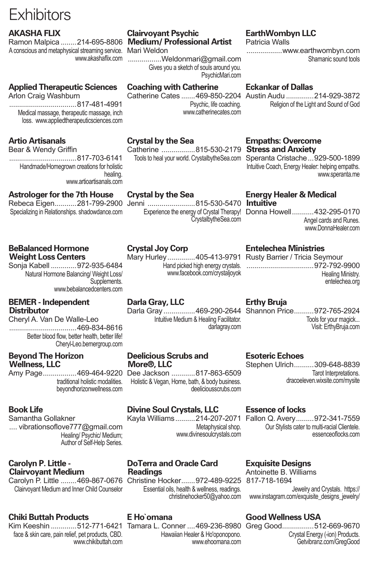# **Exhibitors**

### **AKASHA FI IX**

Ramon Malpica ........214-695-8806 A conscious and metaphysical streaming service. Mari Weldon www.akashaflix.com

### **Applied Therapeutic Sciences**

Arlon Craig Washburn

..................................817-481-4991 Medical massage, therapeutic massage, inch loss. www.appliedtherapeuticsciences.com

# **Artio Artisanals**

Bear & Wendy Griffin ..................................817-703-6141 Handmade/Homegrown creations for holistic healing. www.artioartisanals.com

### **Astrologer for the 7th House**

Rebeca Eigen...........281-799-2900 Jenni ........................815-530-5470 **Intuitive** Specializing in Relationships. shadowdance.com

### **BeBalanced Hormone Weight Loss Centers**

Sonja Kabell .............972-935-6484 Natural Hormone Balancing/ Weight Loss/ Supplements. www.bebalancedcenters.com

#### **BEMER - Independent Distributor**

Cheryl A. Van De Walle-Leo ..................................469-834-8616 Better blood flow, better health, better life! Cheryl-Leo.bemergroup.com

#### **Beyond The Horizon Wellness, LLC**

Amy Page.................469-464-9220 Dee Jackson ............817-863-6509 traditional holistic modalities. beyondhorizonwellness.com

# **Book Life**

Samantha Gollakner .... vibrationsoflove777@gmail.com Healing/ Psychic/ Medium; Author of Self-Help Series.

### **Carolyn P. Little - Clairvoyant Medium**

Carolyn P. Little ........469-867-0676 Christine Hocker.......972-489-9225 Clairvoyant Medium and Inner Child Counselor

# **Chiki Buttah Products**

Kim Keeshin .............512-771-6421 Tamara L. Conner ....469-236-8980 Greg Good................512-669-9670 face & skin care, pain relief, pet products, CBD. www.chikibuttah.com

# **Clairvoyant Psychic Medium/ Professional Artist**

.................Weldonmari@gmail.com Gives you a sketch of souls around you. PsychicMari.com

#### **Coaching with Catherine**

Catherine Cates .......469-850-2204 Austin Audu ..............214-929-3872 Psychic, life coaching. www.catherinecates.com

# **Crystal by the Sea**

Catherine .................815-530-2179 **Stress and Anxiety** Tools to heal your world. CrystalbytheSea.com

# **Crystal by the Sea**

CrystalbytheSea.com

# **Crystal Joy Corp**

Mary Hurley..............405-413-9791 Hand picked high energy crystals. www.facebook.com/crystaljoyok

## **Darla Gray, LLC**

Intuitive Medium & Healing Facilitator. darlagray.com

#### **Deelicious Scrubs and More®, LLC**

Holistic & Vegan, Home, bath, & body business. deeliciousscrubs.com

## **Divine Soul Crystals, LLC**

Metaphysical shop. www.divinesoulcrystals.com

#### **DoTerra and Oracle Card Readings**

Essential oils, health & wellness, readings. christinehocker50@yahoo.com

#### **E Ho`omana**

Hawaiian Healer & Ho'oponopono. www.ehoomana.com

# **EarthWombyn LLC**

Patricia Walls

..................www.earthwombyn.com Shamanic sound tools

#### **Eckankar of Dallas**

Religion of the Light and Sound of God

# **Empaths: Overcome**

Speranta Cristache...929-500-1899 Intuitive Coach, Energy Healer: helping empaths. www.speranta.me

# **Energy Healer & Medical**

Experience the energy of Crystal Therapy! Donna Howell...........432-295-0170 Angel cards and Runes. www.DonnaHealer.com

## **Entelechea Ministries**

| Rusty Barrier / Tricia Seymour |
|--------------------------------|
| $\ldots$ 972-792-9900          |
| <b>Healing Ministry.</b>       |
| entelechea.org                 |

# **Erthy Bruja**

Darla Gray................469-290-2644 Shannon Price..........972-765-2924 Tools for your magick... Visit: ErthyBruja.com

## **Esoteric Echoes**

Stephen Ulrich..........309-648-8839 Tarot Interpretations. dracoeleven.wixsite.com/mysite

## **Essence of locks**

Kayla Williams..........214-207-2071 Fallon Q. Avery.........972-341-7559 Our Stylists cater to multi-racial Clientele. essenceoflocks.com

## **Exquisite Designs**

Antoinette B. Williams 817-718-1694 Jewelry and Crystals. https:// www.instagram.com/exquisite\_designs\_jewelry/

## **Good Wellness USA**

Crystal Energy (-ion) Products. Getvibranz.com/GregGood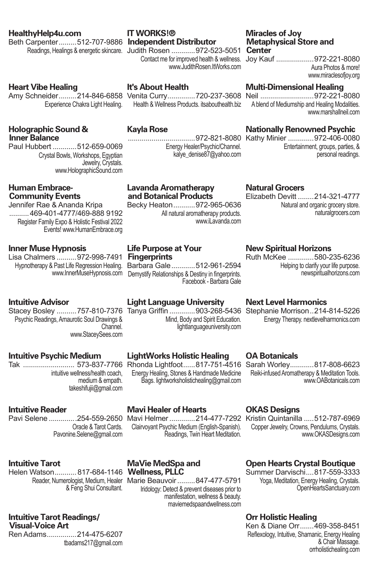#### **HealthyHelp4u.com**

Beth Carpenter.........512-707-9886 **Independent Distributor** Readings, Healings & energetic skincare. Judith Rosen .............972-523-5051 **Center** 

#### **Heart Vibe Healing**

Amy Schneider.........214-846-6858 Venita Curry..............720-237-3608 Neil ...........................972-221-8080 Experience Chakra Light Healing.

#### **Holographic Sound & Inner Balance**

Paul Hubbert ............512-659-0069 Crystal Bowls, Workshops, Egyptian Jewelry, Crystals. www.HolographicSound.com

#### **Human Embrace-Community Events**

Jennifer Rae & Ananda Kripa .......... 469-401-4777/469-888 9192 Register Family Expo & Holistic Festival 2022 Events! www.HumanEmbrace.org

#### **Inner Muse Hypnosis**

Lisa Chalmers ..........972-998-7491 **Fingerprints**

#### **Intuitive Advisor**

Stacey Bosley ..........757-810-7376 Tanya Griffin .............903-268-5436 Stephanie Morrison..214-814-5226 Psychic Readings, Amaurotic Soul Drawings & Channel. www.StaceySees.com

#### **Intuitive Psychic Medium**

Tak .......................... 573-837-7766 Rhonda Lightfoot......817-751-4516 Sarah Worley............817-808-6623 intuitive wellness/health coach, medium & empath. takeshifujii@gmail.com

#### **Intuitive Reader**

Oracle & Tarot Cards. Pavonine.Selene@gmail.com

#### **Intuitive Tarot**

Helen Watson........... 817-684-1146 **Wellness, PLLC** & Feng Shui Consultant.

#### **Intuitive Tarot Readings/ Visual-Voice Art**

Ren Adams...............214-475-6207 tbadams217@gmail.com

# **IT WORKS!®**

www.JudithRosen.ItWorks.com

#### **It's About Health**

Health & Wellness Products, itsabouthealth hiz

### **Kayla Rose**

Energy Healer/Psychic/Channel. kalye\_denise87@yahoo.com

#### **Lavanda Aromatherapy and Botanical Products**

All natural aromatherapy products. www.iLavanda.com

# **Life Purpose at Your**

Hypnotherapy & Past Life Regression Healing. Barbara Gale............512-961-2594 www.InnerMuseHypnosis.com Demystify Relationships & Destiny in fingerprints. Facebook - Barbara Gale

## **Light Language University**

Mind, Body and Spirit Education. lightlanguageuniversity.com

## **LightWorks Holistic Healing**

Energy Healing, Stones & Handmade Medicine Bags. lightworksholistichealing@gmail.com

#### **Mavi Healer of Hearts**

Pavi Selene ..............254-559-2650 Mavi Helmer .............214-477-7292 Kristin Quintanilla .....512-787-6969 Clairvoyant Psychic Medium (English-Spanish). Readings, Twin Heart Meditation.

# **MaVie MedSpa and**

Reader, Numerologist, Medium, Healer Marie Beauvoir.........847-477-5791 Iridology: Detect & prevent diseases prior to manifestation, wellness & beauty. maviemedspaandwellness.com

# **Miracles of Joy Metaphysical Store and**

Contact me for improved health & wellness. Joy Kauf ...................972-221-8080 Aura Photos & more! www.miraclesofjoy.org

# **Multi-Dimensional Healing**

A blend of Mediumship and Healing Modalities. www.marshallneil.com

# **Nationally Renowned Psychic**

..................................972-821-8080 Kathy Minier .............972-406-0080 Entertainment, groups, parties, & personal readings.

#### **Natural Grocers**

Elizabeth Devitt ........214-321-4777 Natural and organic grocery store. naturalgrocers.com

### **New Spiritual Horizons**

Ruth McKee .............580-235-6236 Helping to clarify your life purpose. newspiritualhorizons.com

#### **Next Level Harmonics**

Energy Therapy. nextlevelharmonics.com

## **OA Botanicals**

Reiki-infused Aromatherapy & Meditation Tools. www.OABotanicals.com

## **OKAS Designs**

Copper Jewelry, Crowns, Pendulums, Crystals. www.OKASDesigns.com

## **Open Hearts Crystal Boutique**

Summer Darvischi....817-559-3333 Yoga, Meditation, Energy Healing, Crystals. OpenHeartsSanctuary.com

#### **Orr Holistic Healing**

Ken & Diane Orr.......469-358-8451 Reflexology, Intuitive, Shamanic, Energy Healing & Chair Massage. orrholistichealing.com

Becky Heaton...........972-965-0636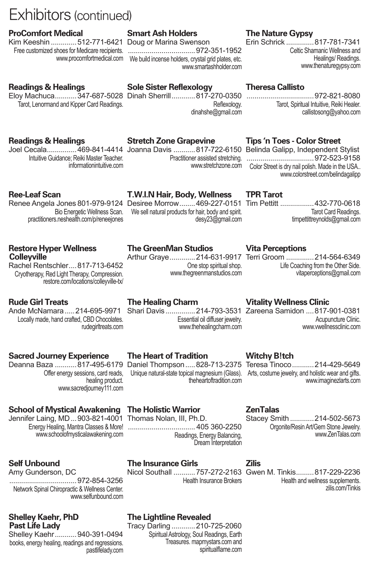# Exhibitors (continued)

#### **ProComfort Medical**

Kim Keeshin .............512-771-6421 Doug or Marina Swenson

#### **Readings & Healings**

Eloy Machuca...........347-687-5028 Dinah Sherrill............817-270-0350 ..................................972-821-8080 Tarot, Lenormand and Kipper Card Readings.

## **Smart Ash Holders**

Free customized shoes for Medicare recipients. ..................................972-351-1952 www.procomfortmedical.com We build incense holders, crystal grid plates, etc. www.smartashholder.com

# **The Nature Gypsy**

Erin Schrick ..............817-781-7341 Celtic Shamanic Wellness and Healings/ Readings. www.thenaturegypsy.com

#### **Theresa Callisto**

Tarot, Spiritual Intuitive, Reiki Healer. callistosong@yahoo.com

#### **Readings & Healings**

Joel Cecala...............469-841-4414 Joanna Davis ...........817-722-6150 Belinda Galipp, Independent Stylist Intuitive Guidance; Reiki Master Teacher. informationintuitive.com

## **Stretch Zone Grapevine**

**Sole Sister Reflexology**

### **Tips 'n Toes - Color Street**

Practitioner assisted stretching. ..................................972-523-9158 www.stretchzone.com Color Street is dry nail polish. Made in the USA.. www.colorstreet.com/belindagalipp

#### **Ree-Leaf Scan**

Renee Angela Jones 801-979-9124 Desiree Morrow........469-227-0151 Tim Pettitt .................432-770-0618 practitioners.neshealth.com/p/reneejones

#### **Restore Hyper Wellness Colleyville**

Rachel Rentschler....817-713-6452 Cryotherapy, Red Light Therapy, Compression. restore.com/locations/colleyville-tx/

#### **Rude Girl Treats**

Ande McNamara ..... 214-695-9971 Shari Davis ................ 214-793-3531 Zareena Samidon .... 817-901-0381 Locally made, hand crafted, CBD Chocolates. rudegirltreats.com

#### **Sacred Journey Experience**

Deanna Baza ...........817-495-6179 Daniel Thompson .....828-713-2375 Teresa Tinoco ...........214-429-5649 healing product. www.sacredjourney111.com

### **School of Mystical Awakening**

Jennifer Laing, MD...903-821-4001 www.schoolofmysticalawakening.com

#### **Self Unbound**

Amy Gunderson, DC ..................................972-854-3256 Network Spinal Chiropractic & Wellness Center. www.selfunbound.com

#### **Shelley Kaehr, PhD Past Life Lady**

Shelley Kaehr...........940-391-0494 books, energy healing, readings and regressions. pastlifelady.com

# **The Healing Charm**

**The GreenMan Studios**

Essential oil diffuser jewelry. www.thehealingcharm.com

# **The Heart of Tradition**

Offer energy sessions, card reads, Unique natural-state topical magnesium (Glass). Arts, costume jewelry, and holistic wear and gifts. theheartoftradition.com

## **The Holistic Warrior**

Energy Healing, Mantra Classes & More! .................................. 405 360-2250 Thomas Nolan, III, Ph.D. Readings, Energy Balancing, Dream Interpretation Stacey Smith ............214-502-5673

## **The Insurance Girls**

Health Insurance Brokers

# **The Lightline Revealed**

Tracy Darling ............210-725-2060 Spiritual Astrology, Soul Readings, Earth Treasures. mapmystars.com and spiritualflame.com

#### **Zilis**

**ZenTalas**

Nicol Southall ...........757-272-2163 Gwen M. Tinkis.........817-229-2236 Health and wellness supplements. zilis.com/Tinkis

# **Vita Perceptions**

**TPR Tarot**

Arthur Graye.............214-631-9917 Terri Groom ..............214-564-6349 Life Coaching from the Other Side. vitaperceptions@gmail.com

Tarot Card Readings. timpettittreynolds@gmail.com

**Vitality Wellness Clinic**

Acupuncture Clinic. www.vwellnessclinic.com

## **Witchy B!tch**

www.imaginezlarts.com

Orgonite/Resin Art/Gem Stone Jewelry.

www.ZenTalas.com

One stop spiritual shop. www.thegreenmanstudios.com

Bio Energetic Wellness Scan. We sell natural products for hair, body and spirit. **T.W.I.N Hair, Body, Wellness** desy23@gmail.com

Reflexology. dinahshe@gmail.com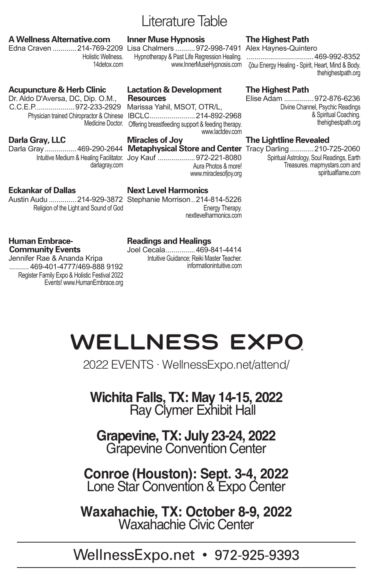# Literature Table

### **A Wellness Alternative.com**

Edna Craven ............214-769-2209 Lisa Chalmers ..........972-998-7491 Alex Haynes-Quintero Holistic Wellness. 14detox.com

# **Acupuncture & Herb Clinic**

Dr. Aldo D'Aversa, DC, Dip. O.M., C.C.E.P....................972-233-2929

# **Darla Gray, LLC**

darlagray.com

#### **Lactation & Development Resources**

**Inner Muse Hypnosis**

Physician trained Chiropractor & Chinese IBCLC.......................214-892-2968 Medicine Doctor. Offering breastfeeding support & feeding therapy. Marissa Yahil, MSOT, OTR/L, www.lactdev.com

# **Miracles of Joy**

Intuitive Medium & Healing Facilitator. Joy Kauf ...................972-221-8080 Aura Photos & more! www.miraclesofjoy.org

# **Eckankar of Dallas**

Austin Audu ..............214-929-3872 Stephanie Morrison..214-814-5226 Religion of the Light and Sound of God

# **Next Level Harmonics**

Energy Therapy. nextlevelharmonics.com

# **Readings and Healings**

Joel Cecala...............469-841-4414 Intuitive Guidance; Reiki Master Teacher. informationintuitive.com

# **The Highest Path**

Hypnotherapy & Past Life Regression Healing. ..................................469-992-8352 www.InnerMuseHypnosis.com ζάω Energy Healing - Spirit, Heart, Mind & Body. thehighestpath.org

# **The Highest Path**

Elise Adam ...............972-876-6236 Divine Channel, Psychic Readings & Spiritual Coaching. thehighestpath.org

# **The Lightline Revealed**

Darla Gray................469-290-2644 **Metaphysical Store and Center** Tracy Darling ............210-725-2060 Spiritual Astrology, Soul Readings, Earth Treasures. mapmystars.com and spiritualflame.com

#### **Human Embrace-Community Events**

Jennifer Rae & Ananda Kripa .......... 469-401-4777/469-888 9192 Register Family Expo & Holistic Festival 2022 Events! www.HumanEmbrace.org

# **Wellness Expo®**

2022 EVENTS · WellnessExpo.net/attend/

# **Wichita Falls, TX: May 14-15, 2022** Ray Clymer Exhibit Hall

**Grapevine, TX: July 23-24, 2022** Grapevine Convention Center

**Conroe (Houston): Sept. 3-4, 2022** Lone Star Convention & Expo Center

**Waxahachie, TX: October 8-9, 2022** Waxahachie Civic Center

# WellnessExpo.net • 972-925-9393